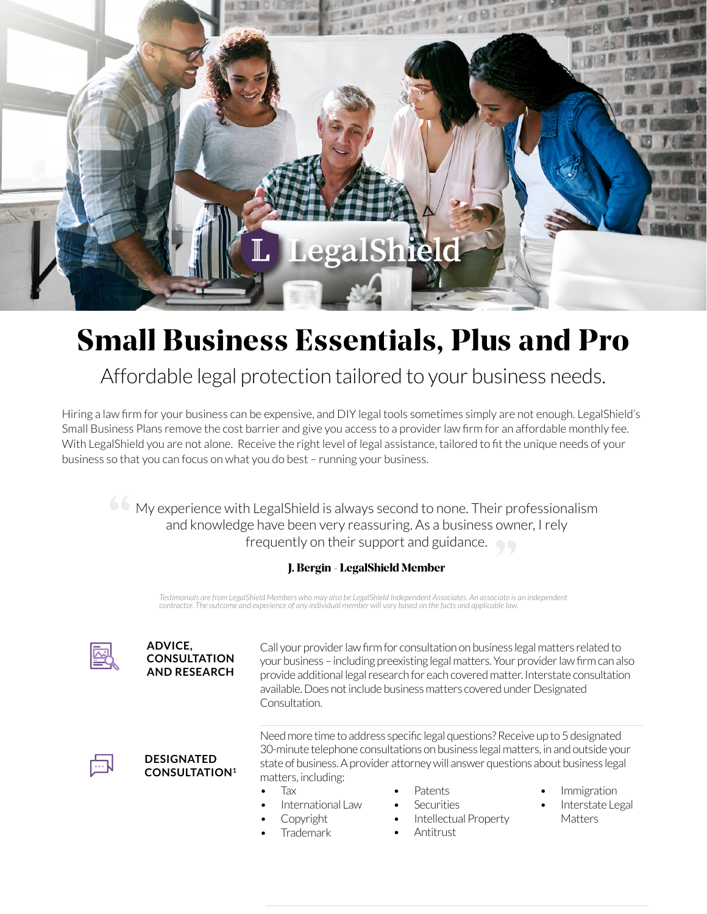

# Small Business Essentials, Plus and Pro

## Affordable legal protection tailored to your business needs.

Hiring a law firm for your business can be expensive, and DIY legal tools sometimes simply are not enough. LegalShield's Small Business Plans remove the cost barrier and give you access to a provider law firm for an affordable monthly fee. With LegalShield you are not alone. Receive the right level of legal assistance, tailored to fit the unique needs of your business so that you can focus on what you do best – running your business.

> My experience with LegalShield is always second to none. Their professionalism and knowledge have been very reassuring. As a business owner, I rely<br>frequently on their support and guidance. frequently on their support and guidance.

### J. Bergin - LegalShield Member

*Testimonials are from LegalShield Members who may also be LegalShield Independent Associates. An associate is an independent contractor. The outcome and experience of any individual member will vary based on the facts and applicable law.*

#### **ADVICE, CONSULTATION AND RESEARCH**

Call your provider law firm for consultation on business legal matters related to your business – including preexisting legal matters. Your provider law firm can also provide additional legal research for each covered matter. Interstate consultation available. Does not include business matters covered under Designated Consultation.



#### **DESIGNATED CONSULTATION1**

Need more time to address specific legal questions? Receive up to 5 designated 30-minute telephone consultations on business legal matters, in and outside your state of business. A provider attorney will answer questions about business legal matters, including:

- Tax
- International Law
- **Copyright**
- Trademark
- Patents
- Securities
- Intellectual Property
- Antitrust
- Immigration
- Interstate Legal **Matters**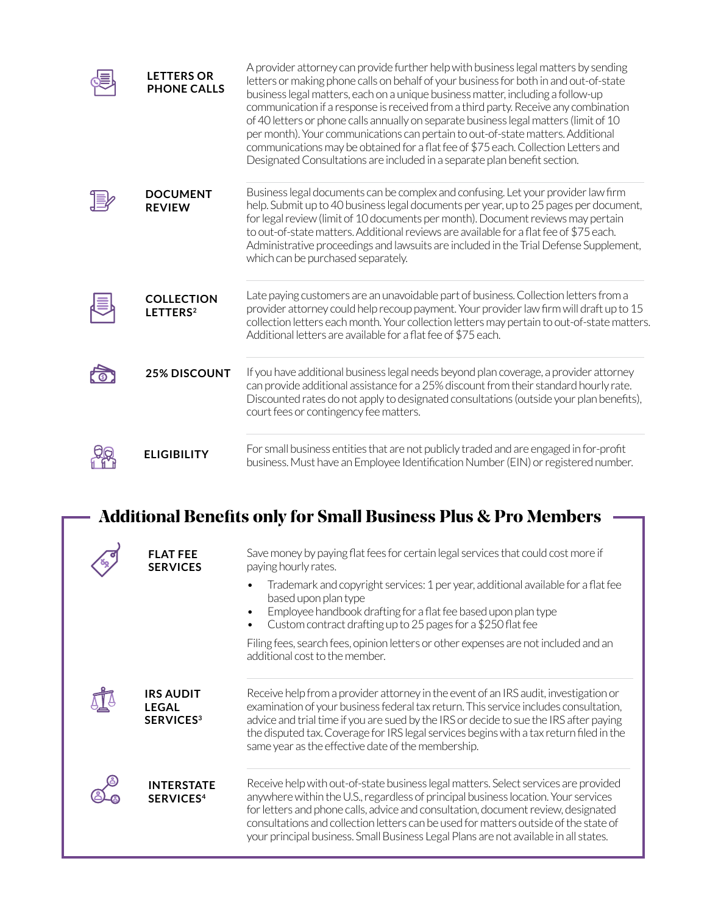| <b>LETTERS OR</b><br><b>PHONE CALLS</b>   | A provider attorney can provide further help with business legal matters by sending<br>letters or making phone calls on behalf of your business for both in and out-of-state<br>business legal matters, each on a unique business matter, including a follow-up<br>communication if a response is received from a third party. Receive any combination<br>of 40 letters or phone calls annually on separate business legal matters (limit of 10<br>per month). Your communications can pertain to out-of-state matters. Additional<br>communications may be obtained for a flat fee of \$75 each. Collection Letters and<br>Designated Consultations are included in a separate plan benefit section. |
|-------------------------------------------|-------------------------------------------------------------------------------------------------------------------------------------------------------------------------------------------------------------------------------------------------------------------------------------------------------------------------------------------------------------------------------------------------------------------------------------------------------------------------------------------------------------------------------------------------------------------------------------------------------------------------------------------------------------------------------------------------------|
| <b>DOCUMENT</b><br><b>REVIEW</b>          | Business legal documents can be complex and confusing. Let your provider law firm<br>help. Submit up to 40 business legal documents per year, up to 25 pages per document,<br>for legal review (limit of 10 documents per month). Document reviews may pertain<br>to out-of-state matters. Additional reviews are available for a flat fee of \$75 each.<br>Administrative proceedings and lawsuits are included in the Trial Defense Supplement,<br>which can be purchased separately.                                                                                                                                                                                                               |
| <b>COLLECTION</b><br>LETTERS <sup>2</sup> | Late paying customers are an unavoidable part of business. Collection letters from a<br>provider attorney could help recoup payment. Your provider law firm will draft up to 15<br>collection letters each month. Your collection letters may pertain to out-of-state matters.<br>Additional letters are available for a flat fee of \$75 each.                                                                                                                                                                                                                                                                                                                                                       |
| <b>25% DISCOUNT</b>                       | If you have additional business legal needs beyond plan coverage, a provider attorney<br>can provide additional assistance for a 25% discount from their standard hourly rate.<br>Discounted rates do not apply to designated consultations (outside your plan benefits),<br>court fees or contingency fee matters.                                                                                                                                                                                                                                                                                                                                                                                   |
| <b>ELIGIBILITY</b>                        | For small business entities that are not publicly traded and are engaged in for-profit<br>business. Must have an Employee Identification Number (EIN) or registered number.                                                                                                                                                                                                                                                                                                                                                                                                                                                                                                                           |

| <b>Additional Benefits only for Small Business Plus &amp; Pro Members</b> |                                                                 |                                                                                                                                                                                                                                                                                                                                                                                                                                                |  |  |  |
|---------------------------------------------------------------------------|-----------------------------------------------------------------|------------------------------------------------------------------------------------------------------------------------------------------------------------------------------------------------------------------------------------------------------------------------------------------------------------------------------------------------------------------------------------------------------------------------------------------------|--|--|--|
|                                                                           | <b>FLAT FEE</b><br><b>SERVICES</b>                              | Save money by paying flat fees for certain legal services that could cost more if<br>paying hourly rates.                                                                                                                                                                                                                                                                                                                                      |  |  |  |
|                                                                           |                                                                 | Trademark and copyright services: 1 per year, additional available for a flat fee<br>based upon plan type<br>Employee handbook drafting for a flat fee based upon plan type<br>$\bullet$<br>Custom contract drafting up to 25 pages for a \$250 flat fee                                                                                                                                                                                       |  |  |  |
|                                                                           |                                                                 | Filing fees, search fees, opinion letters or other expenses are not included and an<br>additional cost to the member.                                                                                                                                                                                                                                                                                                                          |  |  |  |
|                                                                           | <b>IRS AUDIT</b><br><b>LEGAL</b><br><b>SERVICES<sup>3</sup></b> | Receive help from a provider attorney in the event of an IRS audit, investigation or<br>examination of your business federal tax return. This service includes consultation,<br>advice and trial time if you are sued by the IRS or decide to sue the IRS after paying<br>the disputed tax. Coverage for IRS legal services begins with a tax return filed in the<br>same year as the effective date of the membership.                        |  |  |  |
|                                                                           | <b>INTERSTATE</b><br><b>SERVICES4</b>                           | Receive help with out-of-state business legal matters. Select services are provided<br>anywhere within the U.S., regardless of principal business location. Your services<br>for letters and phone calls, advice and consultation, document review, designated<br>consultations and collection letters can be used for matters outside of the state of<br>your principal business. Small Business Legal Plans are not available in all states. |  |  |  |